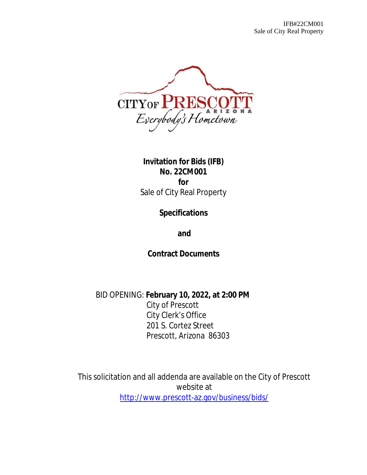

**Invitation for Bids (IFB) No. 22CM001 for** Sale of City Real Property

**Specifications**

**and**

**Contract Documents**

BID OPENING: **February 10, 2022, at 2:00 PM** City of Prescott City Clerk's Office 201 S. Cortez Street Prescott, Arizona 86303

This solicitation and all addenda are available on the City of Prescott website at <http://www.prescott-az.gov/business/bids/>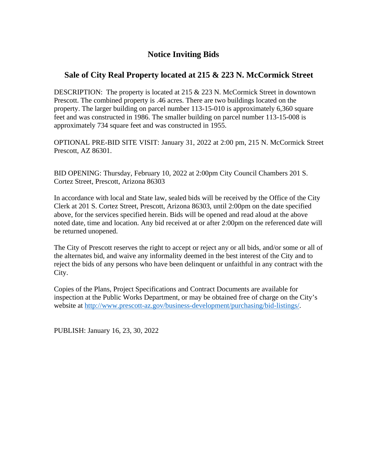# **Notice Inviting Bids**

# **Sale of City Real Property located at 215 & 223 N. McCormick Street**

DESCRIPTION: The property is located at 215 & 223 N. McCormick Street in downtown Prescott. The combined property is .46 acres. There are two buildings located on the property. The larger building on parcel number 113-15-010 is approximately 6,360 square feet and was constructed in 1986. The smaller building on parcel number 113-15-008 is approximately 734 square feet and was constructed in 1955.

OPTIONAL PRE-BID SITE VISIT: January 31, 2022 at 2:00 pm, 215 N. McCormick Street Prescott, AZ 86301.

BID OPENING: Thursday, February 10, 2022 at 2:00pm City Council Chambers 201 S. Cortez Street, Prescott, Arizona 86303

In accordance with local and State law, sealed bids will be received by the Office of the City Clerk at 201 S. Cortez Street, Prescott, Arizona 86303, until 2:00pm on the date specified above, for the services specified herein. Bids will be opened and read aloud at the above noted date, time and location. Any bid received at or after 2:00pm on the referenced date will be returned unopened.

The City of Prescott reserves the right to accept or reject any or all bids, and/or some or all of the alternates bid, and waive any informality deemed in the best interest of the City and to reject the bids of any persons who have been delinquent or unfaithful in any contract with the City.

Copies of the Plans, Project Specifications and Contract Documents are available for inspection at the Public Works Department, or may be obtained free of charge on the City's website at [http://www.prescott-az.gov/business-development/purchasing/bid-listings/.](http://www.prescott-az.gov/business-development/purchasing/bid-listings/)

PUBLISH: January 16, 23, 30, 2022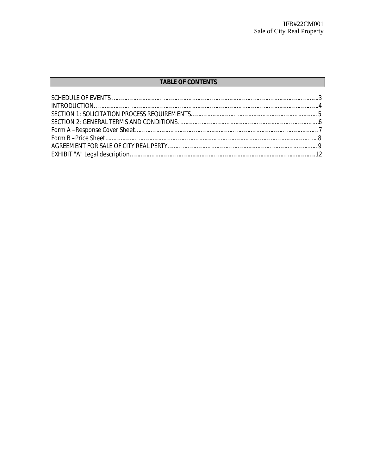# **TABLE OF CONTENTS**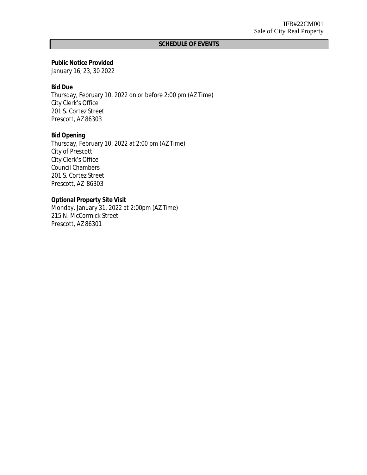# **SCHEDULE OF EVENTS**

**Public Notice Provided** January 16, 23, 30 2022

**Bid Due** Thursday, February 10, 2022 on or before 2:00 pm (AZ Time) City Clerk's Office 201 S. Cortez Street Prescott, AZ 86303

**Bid Opening** Thursday, February 10, 2022 at 2:00 pm (AZ Time) City of Prescott City Clerk's Office Council Chambers 201 S. Cortez Street Prescott, AZ 86303

**Optional Property Site Visit** Monday, January 31, 2022 at 2:00pm (AZ Time) 215 N. McCormick Street Prescott, AZ 86301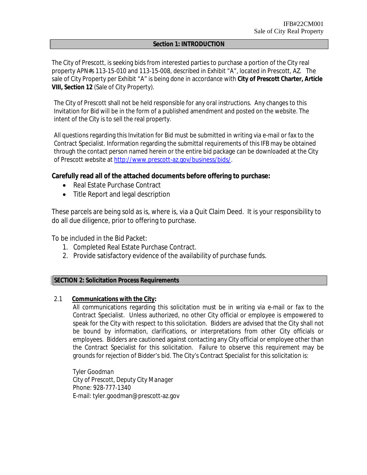### **Section 1: INTRODUCTION**

The City of Prescott, is seeking bids from interested parties to purchase a portion of the City real property APN#s 113-15-010 and 113-15-008, described in Exhibit "A", located in Prescott, AZ. The sale of City Property per Exhibit "A" is being done in accordance with **City of Prescott Charter, Article VIII, Section 12** (Sale of City Property).

The City of Prescott shall not be held responsible for any oral instructions. Any changes to this Invitation for Bid will be in the form of a published amendment and posted on the website. The intent of the City is to sell the real property.

All questions regarding this Invitation for Bid must be submitted in writing via e-mail or fax to the Contract Specialist. Information regarding the submittal requirements of this IFB may be obtained through the contact person named herein or the entire bid package can be downloaded at the City of Prescott website at [http://www.prescott-az.gov/business/bids/.](http://www.prescott-az.gov/business/bids/)

**Carefully read all of the attached documents before offering to purchase:**

- Real Estate Purchase Contract
- Title Report and legal description

These parcels are being sold as is, where is, via a Quit Claim Deed. It is your responsibility to do all due diligence, prior to offering to purchase.

To be included in the Bid Packet:

- 1. Completed Real Estate Purchase Contract.
- 2. Provide satisfactory evidence of the availability of purchase funds.

# **SECTION 2: Solicitation Process Requirements**

2.1 **Communications with the City:**

All communications regarding this solicitation must be in writing via e-mail or fax to the Contract Specialist. Unless authorized, no other City official or employee is empowered to speak for the City with respect to this solicitation. Bidders are advised that the City shall not be bound by information, clarifications, or interpretations from other City officials or employees. Bidders are cautioned against contacting any City official or employee other than the Contract Specialist for this solicitation. Failure to observe this requirement may be grounds for rejection of Bidder's bid. The City's Contract Specialist for this solicitation is:

*Tyler Goodman City of Prescott, Deputy City Manager* Phone: 928-777-1340 E-mail: tyler.goodman@prescott-az.gov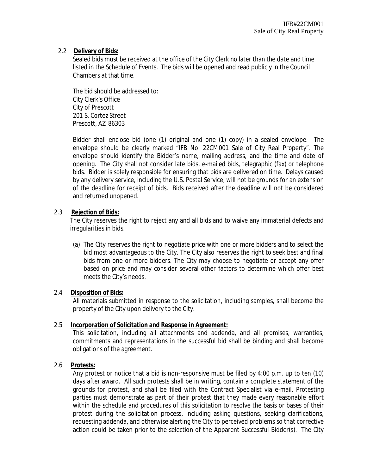# 2.2 **Delivery of Bids:**

Sealed bids must be received at the office of the City Clerk no later than the date and time listed in the Schedule of Events. The bids will be opened and read publicly in the Council Chambers at that time.

The bid should be addressed to: City Clerk's Office City of Prescott 201 S. Cortez Street Prescott, AZ 86303

Bidder shall enclose bid (one (1) original and one (1) copy) in a sealed envelope. The envelope should be clearly marked "IFB No. 22CM001 Sale of City Real Property". The envelope should identify the Bidder's name, mailing address, and the time and date of opening. The City shall not consider late bids, e-mailed bids, telegraphic (fax) or telephone bids. Bidder is solely responsible for ensuring that bids are delivered on time. Delays caused by any delivery service, including the U.S. Postal Service, will not be grounds for an extension of the deadline for receipt of bids. Bids received after the deadline will not be considered and returned unopened.

# 2.3 **Rejection of Bids:**

The City reserves the right to reject any and all bids and to waive any immaterial defects and irregularities in bids.

(a) The City reserves the right to negotiate price with one or more bidders and to select the bid most advantageous to the City. The City also reserves the right to seek best and final bids from one or more bidders. The City may choose to negotiate or accept any offer based on price and may consider several other factors to determine which offer best meets the City's needs.

# 2.4 **Disposition of Bids:**

All materials submitted in response to the solicitation, including samples, shall become the property of the City upon delivery to the City.

# 2.5 **Incorporation of Solicitation and Response in Agreement:**

This solicitation, including all attachments and addenda, and all promises, warranties, commitments and representations in the successful bid shall be binding and shall become obligations of the agreement.

# 2.6 **Protests:**

Any protest or notice that a bid is non-responsive must be filed by 4:00 p.m. up to ten (10) days after award. All such protests shall be in writing, contain a complete statement of the grounds for protest, and shall be filed with the Contract Specialist via e-mail. Protesting parties must demonstrate as part of their protest that they made every reasonable effort within the schedule and procedures of this solicitation to resolve the basis or bases of their protest during the solicitation process, including asking questions, seeking clarifications, requesting addenda, and otherwise alerting the City to perceived problems so that corrective action could be taken prior to the selection of the Apparent Successful Bidder(s). The City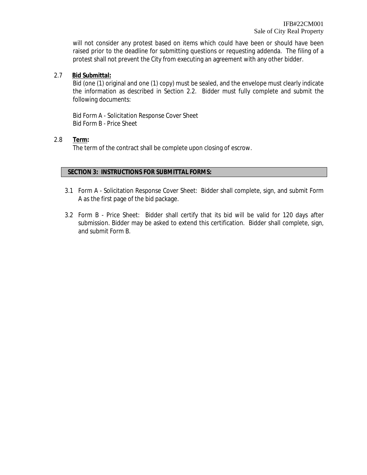will not consider any protest based on items which could have been or should have been raised prior to the deadline for submitting questions or requesting addenda. The filing of a protest shall not prevent the City from executing an agreement with any other bidder.

2.7 **Bid Submittal:**

Bid (one (1) original and one (1) copy) must be sealed, and the envelope must clearly indicate the information as described in Section 2.2. Bidder must fully complete and submit the following documents:

Bid Form A - Solicitation Response Cover Sheet Bid Form B - Price Sheet

2.8 **Term:**

The term of the contract shall be complete upon closing of escrow.

# **SECTION 3: INSTRUCTIONS FOR SUBMITTAL FORMS:**

- 3.1 Form A Solicitation Response Cover Sheet: Bidder shall complete, sign, and submit Form A as the first page of the bid package.
- 3.2 Form B Price Sheet: Bidder shall certify that its bid will be valid for 120 days after submission. Bidder may be asked to extend this certification. Bidder shall complete, sign, and submit Form B.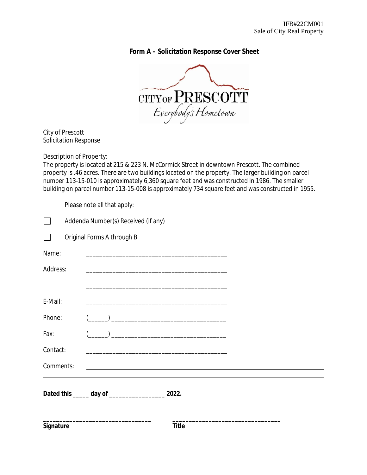**Form A – Solicitation Response Cover Sheet**



City of Prescott Solicitation Response

Description of Property:

The property is located at 215 & 223 N. McCormick Street in downtown Prescott. The combined property is .46 acres. There are two buildings located on the property. The larger building on parcel number 113-15-010 is approximately 6,360 square feet and was constructed in 1986. The smaller building on parcel number 113-15-008 is approximately 734 square feet and was constructed in 1955.

Please note all that apply:

|           | Addenda Number(s) Received (if any) |                            |                                                                                                                      |  |  |
|-----------|-------------------------------------|----------------------------|----------------------------------------------------------------------------------------------------------------------|--|--|
|           |                                     | Original Forms A through B |                                                                                                                      |  |  |
| Name:     |                                     |                            | <u> 1980 - Johann Barbara, martin amerikan basal dan berasal dan berasal dalam basal dan berasal dan berasal dan</u> |  |  |
| Address:  |                                     |                            |                                                                                                                      |  |  |
|           |                                     |                            |                                                                                                                      |  |  |
| E-Mail:   |                                     |                            | <u> 1989 - Johann Stein, marwolaethau a bhann an t-Amhair an t-Amhair an t-Amhair an t-Amhair an t-Amhair an t-A</u> |  |  |
| Phone:    |                                     |                            |                                                                                                                      |  |  |
| Fax:      |                                     |                            | <u> 1980 - Johann Barbara, martxa alemaniar a</u>                                                                    |  |  |
| Contact:  |                                     |                            |                                                                                                                      |  |  |
| Comments: |                                     |                            |                                                                                                                      |  |  |
|           |                                     |                            |                                                                                                                      |  |  |
| Signature |                                     |                            | Title                                                                                                                |  |  |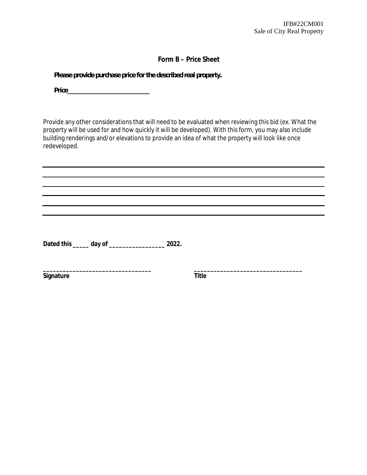# **Form B – Price Sheet**

*Please provide purchase price for the described real property.*

*Price\_\_\_\_\_\_\_\_\_\_\_\_\_\_\_\_\_\_\_\_\_\_\_\_\_*

Provide any other considerations that will need to be evaluated when reviewing this bid (ex. What the property will be used for and how quickly it will be developed). With this form, you may also include building renderings and/or elevations to provide an idea of what the property will look like once redeveloped.

**Dated this \_\_\_\_\_ day of \_\_\_\_\_\_\_\_\_\_\_\_\_\_\_\_\_ 2022.**

**\_\_\_\_\_\_\_\_\_\_\_\_\_\_\_\_\_\_\_\_\_\_\_\_\_\_\_\_\_\_\_\_\_ \_\_\_\_\_\_\_\_\_\_\_\_\_\_\_\_\_\_\_\_\_\_\_\_\_\_\_\_\_\_\_\_\_ Signature** Title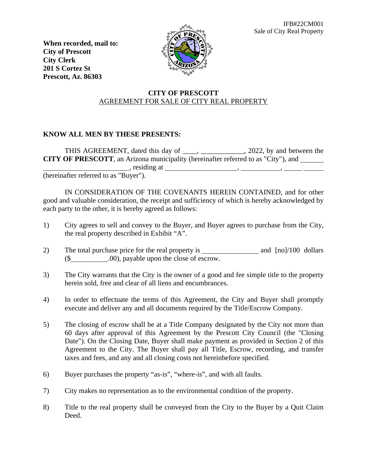IFB#22CM001 Sale of City Real Property

**When recorded, mail to: City of Prescott City Clerk 201 S Cortez St Prescott, Az. 86303**



# **CITY OF PRESCOTT** AGREEMENT FOR SALE OF CITY REAL PROPERTY

# **KNOW ALL MEN BY THESE PRESENTS:**

THIS AGREEMENT, dated this day of \_\_\_\_, \_\_\_\_\_\_\_\_\_\_\_, 2022, by and between the **CITY OF PRESCOTT**, an Arizona municipality (hereinafter referred to as "City"), and  $\blacksquare$ , residing at  $\blacksquare$ ,  $\blacksquare$ ,  $\blacksquare$ ,  $\blacksquare$ ,  $\blacksquare$ ,  $\blacksquare$ ,  $\blacksquare$ ,  $\blacksquare$ ,  $\blacksquare$ ,  $\blacksquare$ ,  $\blacksquare$ ,  $\blacksquare$ ,  $\blacksquare$ ,  $\blacksquare$ ,  $\blacksquare$ ,  $\blacksquare$ ,  $\blacksquare$ ,  $\blacksquare$ ,  $\blacksquare$ ,  $\blacksquare$ ,  $\blacksquare$ ,  $\blacksquare$ ,  $\blacksquare$ ,  $\blacksquare$ ,  $\blacksquare$ ,

(hereinafter referred to as "Buyer").

IN CONSIDERATION OF THE COVENANTS HEREIN CONTAINED, and for other good and valuable consideration, the receipt and sufficiency of which is hereby acknowledged by each party to the other, it is hereby agreed as follows:

- 1) City agrees to sell and convey to the Buyer, and Buyer agrees to purchase from the City, the real property described in Exhibit "A".
- 2) The total purchase price for the real property is and [no]/100 dollars (\$ .00), payable upon the close of escrow.
- 3) The City warrants that the City is the owner of a good and fee simple title to the property herein sold, free and clear of all liens and encumbrances.
- 4) In order to effectuate the terms of this Agreement, the City and Buyer shall promptly execute and deliver any and all documents required by the Title/Escrow Company.
- 5) The closing of escrow shall be at a Title Company designated by the City not more than 60 days after approval of this Agreement by the Prescott City Council (the "Closing Date"). On the Closing Date, Buyer shall make payment as provided in Section 2 of this Agreement to the City. The Buyer shall pay all Title, Escrow, recording, and transfer taxes and fees, and any and all closing costs not hereinbefore specified.
- 6) Buyer purchases the property "as-is", "where-is", and with all faults.
- 7) City makes no representation as to the environmental condition of the property.
- 8) Title to the real property shall be conveyed from the City to the Buyer by a Quit Claim Deed.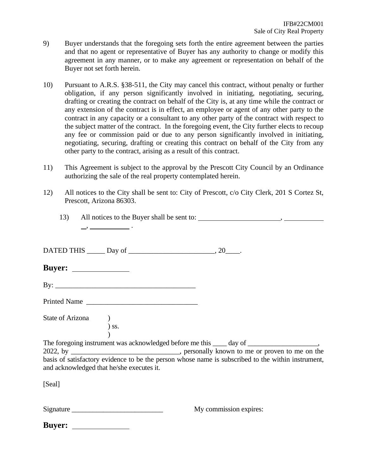- 9) Buyer understands that the foregoing sets forth the entire agreement between the parties and that no agent or representative of Buyer has any authority to change or modify this agreement in any manner, or to make any agreement or representation on behalf of the Buyer not set forth herein.
- 10) Pursuant to A.R.S. §38-511, the City may cancel this contract, without penalty or further obligation, if any person significantly involved in initiating, negotiating, securing, drafting or creating the contract on behalf of the City is, at any time while the contract or any extension of the contract is in effect, an employee or agent of any other party to the contract in any capacity or a consultant to any other party of the contract with respect to the subject matter of the contract. In the foregoing event, the City further elects to recoup any fee or commission paid or due to any person significantly involved in initiating, negotiating, securing, drafting or creating this contract on behalf of the City from any other party to the contract, arising as a result of this contract.
- 11) This Agreement is subject to the approval by the Prescott City Council by an Ordinance authorizing the sale of the real property contemplated herein.
- 12) All notices to the City shall be sent to: City of Prescott, c/o City Clerk, 201 S Cortez St, Prescott, Arizona 86303.

|                                           | $\overline{\phantom{a}}$ , $\overline{\phantom{a}}$ , $\overline{\phantom{a}}$ , $\overline{\phantom{a}}$ , $\overline{\phantom{a}}$ , $\overline{\phantom{a}}$ , $\overline{\phantom{a}}$ |                                                                                                                                                                                                |  |
|-------------------------------------------|--------------------------------------------------------------------------------------------------------------------------------------------------------------------------------------------|------------------------------------------------------------------------------------------------------------------------------------------------------------------------------------------------|--|
|                                           |                                                                                                                                                                                            |                                                                                                                                                                                                |  |
|                                           |                                                                                                                                                                                            |                                                                                                                                                                                                |  |
|                                           |                                                                                                                                                                                            |                                                                                                                                                                                                |  |
|                                           | Printed Name                                                                                                                                                                               |                                                                                                                                                                                                |  |
| State of Arizona (b) ss.                  |                                                                                                                                                                                            |                                                                                                                                                                                                |  |
| and acknowledged that he/she executes it. |                                                                                                                                                                                            | 2022, by ________________________________, personally known to me or proven to me on the<br>basis of satisfactory evidence to be the person whose name is subscribed to the within instrument, |  |
| [Seal]                                    |                                                                                                                                                                                            |                                                                                                                                                                                                |  |
|                                           | Signature                                                                                                                                                                                  | My commission expires:                                                                                                                                                                         |  |

| <b>Buyer:</b> |  |
|---------------|--|
|               |  |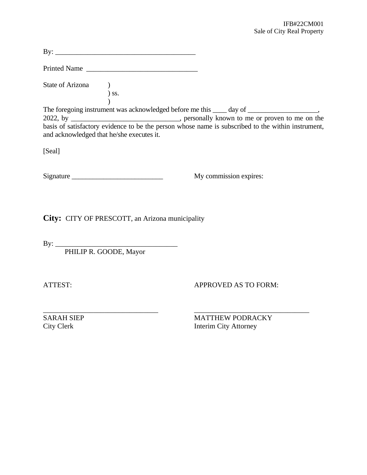| Printed Name                                    |                                                         |
|-------------------------------------------------|---------------------------------------------------------|
| <b>State of Arizona</b><br>$)$<br>$)$ ss.       |                                                         |
|                                                 |                                                         |
| and acknowledged that he/she executes it.       |                                                         |
| [Seal]                                          |                                                         |
|                                                 | My commission expires:                                  |
| City: CITY OF PRESCOTT, an Arizona municipality |                                                         |
|                                                 |                                                         |
| By: PHILIP R. GOODE, Mayor                      |                                                         |
| ATTEST:                                         | <b>APPROVED AS TO FORM:</b>                             |
| <b>SARAH SIEP</b><br><b>City Clerk</b>          | <b>MATTHEW PODRACKY</b><br><b>Interim City Attorney</b> |
|                                                 |                                                         |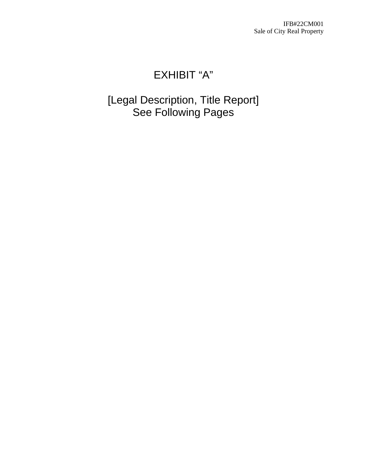IFB#22CM001 Sale of City Real Property

# EXHIBIT "A"

[Legal Description, Title Report] See Following Pages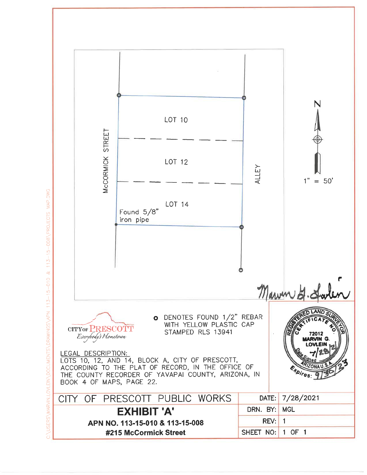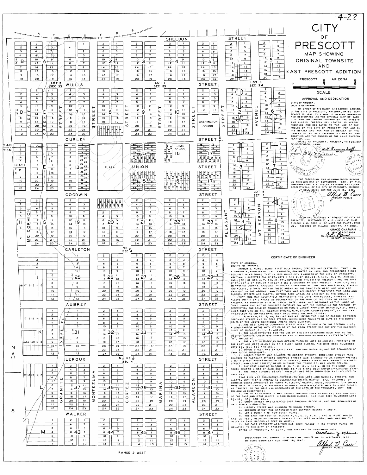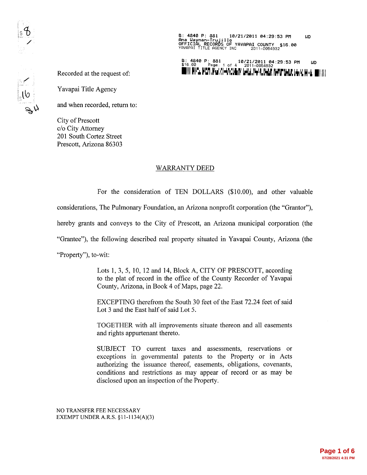B: 4840 P: 881 10/21/2011 04:29:53 PM<br>Ana Wayman-Trujillo<br>OFFICIAL RECORDS OF YAVAPAI COUNTY \$16.00<br>YAVAPAI TITLE AGENCY INC 2011-0054932 **LID** 

B: 4840 P: 881 10/21/2011 04:29:53 PM<br>\$16.00 Page: 1 of 4 2011-0054932 UD WHITE RYPL MCP, Mar At-Walker Graf, N-VL Graf, N-VP Graf, Graf Graf, Co.

Recorded at the request of:

Yavapai Title Agency

and when recorded, return to:

**City of Prescott** c/o City Attorney 201 South Cortez Street Prescott, Arizona 86303

# **WARRANTY DEED**

For the consideration of TEN DOLLARS (\$10.00), and other valuable

considerations, The Pulmonary Foundation, an Arizona nonprofit corporation (the "Grantor"),

hereby grants and conveys to the City of Prescott, an Arizona municipal corporation (the

"Grantee"), the following described real property situated in Yavapai County, Arizona (the

"Property"), to-wit:

Lots 1, 3, 5, 10, 12 and 14, Block A, CITY OF PRESCOTT, according to the plat of record in the office of the County Recorder of Yavapai County, Arizona, in Book 4 of Maps, page 22.

EXCEPTING therefrom the South 30 feet of the East 72.24 feet of said Lot 3 and the East half of said Lot 5.

TOGETHER with all improvements situate thereon and all easements and rights appurtenant thereto.

SUBJECT TO current taxes and assessments, reservations or exceptions in governmental patents to the Property or in Acts authorizing the issuance thereof, easements, obligations, covenants, conditions and restrictions as may appear of record or as may be disclosed upon an inspection of the Property.

NO TRANSFER FEE NECESSARY EXEMPT UNDER A.R.S. §11-1134(A)(3)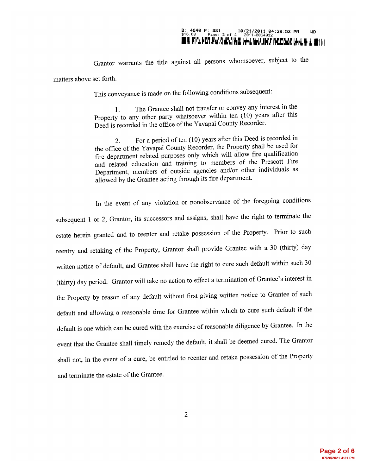# 

Grantor warrants the title against all persons whomsoever, subject to the

matters above set forth.

This conveyance is made on the following conditions subsequent:

The Grantee shall not transfer or convey any interest in the 1. Property to any other party whatsoever within ten (10) years after this Deed is recorded in the office of the Yavapai County Recorder.

For a period of ten (10) years after this Deed is recorded in 2. the office of the Yavapai County Recorder, the Property shall be used for fire department related purposes only which will allow fire qualification and related education and training to members of the Prescott Fire Department, members of outside agencies and/or other individuals as allowed by the Grantee acting through its fire department.

In the event of any violation or nonobservance of the foregoing conditions subsequent 1 or 2, Grantor, its successors and assigns, shall have the right to terminate the estate herein granted and to reenter and retake possession of the Property. Prior to such reentry and retaking of the Property, Grantor shall provide Grantee with a 30 (thirty) day written notice of default, and Grantee shall have the right to cure such default within such 30 (thirty) day period. Grantor will take no action to effect a termination of Grantee's interest in the Property by reason of any default without first giving written notice to Grantee of such default and allowing a reasonable time for Grantee within which to cure such default if the default is one which can be cured with the exercise of reasonable diligence by Grantee. In the event that the Grantee shall timely remedy the default, it shall be deemed cured. The Grantor shall not, in the event of a cure, be entitled to reenter and retake possession of the Property and terminate the estate of the Grantee.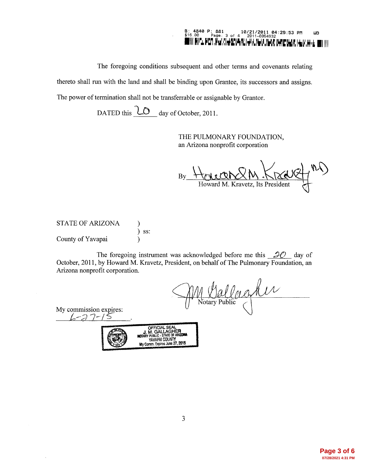### B: 4840 P: 881 10/21/2011 04:29:53 PM<br>\$16.00 Page: 3 of 4 2011-0054932<br>Will Not PLAN You He LIAN | H. N. N. N. N. N. N. N. N. N. **WD** '.WuL ■| ||||

The foregoing conditions subsequent and other terms and covenants relating

thereto shall run with the land and shall be binding upon Grantee, its successors and assigns.

The power of termination shall not be transferrable or assignable by Grantor.

DATED this **LO** day of October, 2011.

THE PULMONARY FOUNDATION, an Arizona nonprofit corporation

By Howard M. Kravetz, Its President

**STATE OF ARIZONA**  $\mathcal{E}$  $)$  ss: County of Yavapai  $\lambda$ 

The foregoing instrument was acknowledged before me this  $20$  day of October, 2011, by Howard M. Kravetz, President, on behalf of The Pulmonary Foundation, an Arizona nonprofit corporation.

M Wallacher

My commission expires:  $4 - 27 - 1$ 

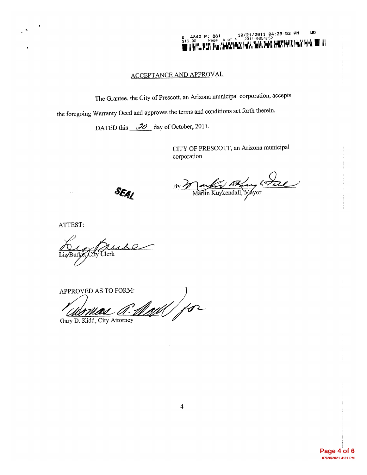B: 4840 P: 881 10/21/2011 04:29:53 PM<br>\$16,00 Page: 4 of 4 2011-0054932<br>\$16,00 Page: 4 - 1.4 - 1.4 - 1.4 - 1.4 - 1.4 - 1.4 - 1.4 - 1.4 - 1.4 - 1.4 - 1.4 - 1.4 - 1.4 - 1.4 - 1.4 - 1.  $\overline{u}$ nya perting Ambergar Givingyi nga martaya igan hindi diti

# **ACCEPTANCE AND APPROVAL**

The Grantee, the City of Prescott, an Arizona municipal corporation, accepts

the foregoing Warranty Deed and approves the terms and conditions set forth therein.

DATED this  $2\theta$  day of October, 2011.

CITY OF PRESCOTT, an Arizona municipal corporation

SEAL

By Martin Kuykendall, Mayor

ATTEST:

Clerk

APPROVED AS TO FORM: as R. Mall for Gary D. Kidd, City Attorney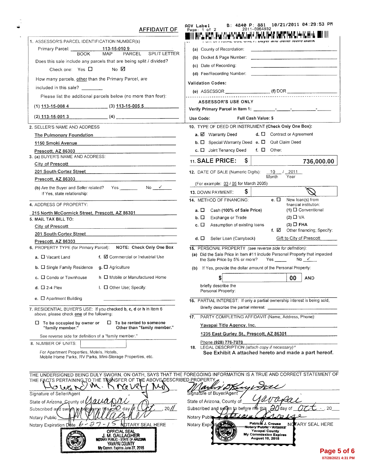| AFFIDAVIT OF                                                                                                                                  | B: 4840 P: 881 10/21/2011 04:29:53 PM<br>AOV Label<br>2011-0054932<br>Page: 1 of 2                                             |
|-----------------------------------------------------------------------------------------------------------------------------------------------|--------------------------------------------------------------------------------------------------------------------------------|
| 1. ASSESSOR'S PARCEL IDENTIFICATION NUMBER(s)                                                                                                 | HOTE OUR ONE F. Duyer and Sener reave blank                                                                                    |
| Primary Parcel: ______<br><u>113-15-010 9</u><br>MAP PAI                                                                                      | (a) County of Recordation:                                                                                                     |
| <b>BOOK</b><br>PARCEL<br><b>SPLIT LETTER</b>                                                                                                  |                                                                                                                                |
| Does this sale include any parcels that are being split / divided?                                                                            | (c) Date of Recording:                                                                                                         |
| No ⊠<br>Check one: Yes $\Box$                                                                                                                 | (d) Fee/Recording Number:                                                                                                      |
| How many parcels, other than the Primary Parcel, are                                                                                          | <b>Validation Codes:</b>                                                                                                       |
| included in this sale? _______                                                                                                                |                                                                                                                                |
| Please list the additional parcels below (no more than four):                                                                                 |                                                                                                                                |
| $(1)$ $113-15-008$ 4 $(3)$ $113-15-005$ 5                                                                                                     | <b>ASSESSOR'S USE ONLY</b>                                                                                                     |
| $(2)$ 113-15-001 3 $(4)$                                                                                                                      | Use Code:<br><b>Full Cash Value: \$</b>                                                                                        |
| 2. SELLER'S NAME AND ADDRESS                                                                                                                  | 10. TYPE OF DEED OR INSTRUMENT (Check Only One Box):                                                                           |
| The Pulmonary Foundation                                                                                                                      | $d.$ $\Box$ Contract or Agreement<br>a. <b>Ø</b> Warranty Deed                                                                 |
| 1150 Smoki Avenue                                                                                                                             | <b>b.</b> $\Box$ Special Warranty Deed <b>e.</b> $\Box$ Quit Claim Deed                                                        |
| Prescott, AZ 86303                                                                                                                            | c. $\Box$ Joint Tenancy Deed<br>f. $\Box$ Other:                                                                               |
| 3. (a) BUYER'S NAME AND ADDRESS:                                                                                                              |                                                                                                                                |
| City of Prescott<br><u> 1980 - Jan James James Jan James James James James James James James James James James James James James James Ja</u> | 11. SALE PRICE:<br>\$<br>736,000.00                                                                                            |
| 201 South Cortez Street<br>the contract of the contract of the contract of the contract of the contract of                                    | 12. DATE OF SALE (Numeric Digits): 10 / 2011                                                                                   |
| Prescott, AZ 86303                                                                                                                            | Month<br>Year<br>(For example: 03 / 05 for March 2005)                                                                         |
|                                                                                                                                               | \$<br>13. DOWN PAYMENT:                                                                                                        |
| If Yes, state relationship:                                                                                                                   | 14. METHOD OF FINANCING:<br>е. П<br>New loan(s) from                                                                           |
| 4. ADDRESS OF PROPERTY:                                                                                                                       | financial institution:                                                                                                         |
| 215 North McCormick Street, Prescott, AZ 86301                                                                                                | $(1)$ $\Box$ Conventional<br>Cash (100% of Sale Price)<br>а. П<br>$(2)$ $\Box$ VA                                              |
| 5. MAIL TAX BILL TO:                                                                                                                          | b. ロ<br>Exchange or Trade<br>$(3)$ $\Box$ FHA<br>с. П<br>Assumption of existing loans                                          |
| City of Prescott                                                                                                                              | f. $\boxtimes$ Other financing; Specify:                                                                                       |
| 201 South Cortez Street<br>Prescott, AZ 86303                                                                                                 | Gift to City of Prescott<br>d. □<br>Seller Loan (Carryback)                                                                    |
| 6. PROPERTY TYPE (for Primary Parcel): NOTE: Check Only One Box                                                                               | 15. PERSONAL PROPERTY (see reverse side for definition):                                                                       |
| f. Ø Commercial or Industrial Use<br>$a. \Box$ Vacant Land                                                                                    | (a) Did the Sale Price in Item #11 include Personal Property that impacted<br>No $\checkmark$<br>the Sale Price by 5% or more? |
| b. C Single Family Residence g. C Agriculture                                                                                                 | (b) If Yes, provide the dollar amount of the Personal Property:                                                                |
| h $\Box$ Mobile or Manufactured Home<br>$c.$ $\square$ Condo or Townhouse                                                                     | 00<br><b>AND</b>                                                                                                               |
| d. $\Box$ 2-4 Plex<br>i. Other Use; Specify:                                                                                                  | briefly describe the<br>Personal Property:                                                                                     |
| e. $\Box$ Apartment Building                                                                                                                  | 16. PARTIAL INTEREST: If only a partial ownership interest is being sold,                                                      |
| 7. RESIDENTIAL BUYER'S USE: If you checked b, c, d or h in Item 6                                                                             | Briefly describe the partial interest:                                                                                         |
| above, please check one of the following:                                                                                                     | PARTY COMPLETING AFFIDAVIT (Name, Address, Phone):<br>17.                                                                      |
| $\Box$ To be rented to someone<br>$\Box$ To be occupied by owner or<br>Other than "family member."<br>"family member."                        | Yavapai Title Agency, Inc.                                                                                                     |
| See reverse side for definition of a "family member."                                                                                         | 1235 East Gurley St., Prescott, AZ 86301                                                                                       |
| 8. NUMBER OF UNITS:                                                                                                                           | Phone (928) 776-7070                                                                                                           |
| For Apartment Properties, Motels, Hotels,                                                                                                     | 18. LEGAL DESCRIPTION (attach copy if necessary)°<br>See Exhibit A attached hereto and made a part hereof.                     |
| Mobile Home Parks, RV Parks, Mini-Storage Properties, etc.                                                                                    |                                                                                                                                |
| THE FACTS PERTAINING TO THE TRANSFER OF THE ABOVE DESCRIBED PROPERTY                                                                          | THE UNDERSIGNED BEING DULY SWORN, ON OATH, SAYS THAT THE FOREGOING INFORMATION IS A TRUE AND CORRECT STATEMENT OF              |
| O Whe<br>o                                                                                                                                    |                                                                                                                                |
| Signature of Seller/Agent                                                                                                                     | Signature of Buyer/Agent                                                                                                       |
| State of Arizona County of                                                                                                                    | State of Arizona, County of                                                                                                    |
| 20/<br>Subscribed and swo<br>dav                                                                                                              | Subscribed and sworn to before ne this                                                                                         |
| Notary Public                                                                                                                                 | Notary Publi<br>Patriciá J. Crouse                                                                                             |
| İ<br>NOTARY SEAL HERE<br>Notary Expiration Date<br><b>OFFICIAL SEAL</b>                                                                       | TARY SEAL HERE<br>Notary Expir<br>NC<br>Notary Public - Arizona<br>Yavapai County                                              |
| J. M. GALLAGHER<br><b>NOTARY PUBLIC - STATE OF ARIZONA</b><br>YAVAPAI COUNTY<br>My Comm. Expires June 27, 2015                                | <b>My Commission Expires</b><br><b>August 10, 2015</b>                                                                         |
|                                                                                                                                               | Page 5                                                                                                                         |

 $\ddot{\phantom{a}}$ 

**Page 5 of 6 07/28/2021 4:31 PM**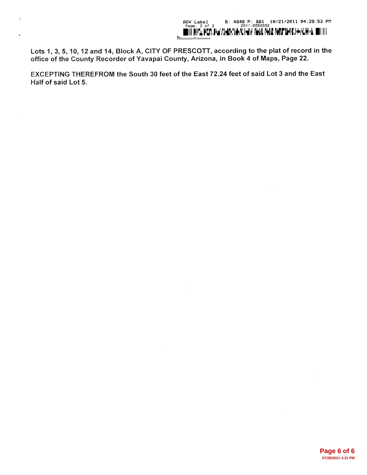Lots 1, 3, 5, 10, 12 and 14, Block A, CITY OF PRESCOTT, according to the plat of record in the office of the County Recorder of Yavapai County, Arizona, in Book 4 of Maps, Page 22.

Ń,

EXCEPTING THEREFROM the South 30 feet of the East 72.24 feet of said Lot 3 and the East Half of said Lot 5.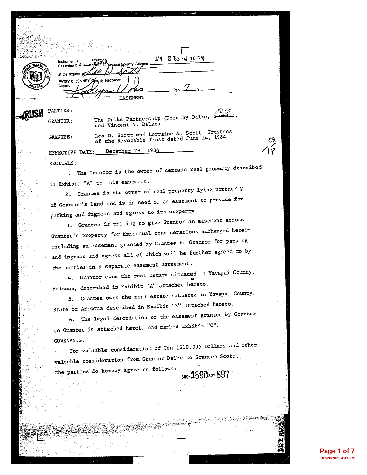| a serial products and the company of the             |                                                                                            |
|------------------------------------------------------|--------------------------------------------------------------------------------------------|
|                                                      |                                                                                            |
|                                                      |                                                                                            |
|                                                      |                                                                                            |
| Instrument <sup>#</sup><br>Recorded Official Records | JAN 8'85-4 40 PM<br>of Yayapai Gounty, Arizona .                                           |
| at the request of                                    |                                                                                            |
| PATSY C. JENNEY. Spanty Recorder<br>Deputy           |                                                                                            |
|                                                      | FASEMENT                                                                                   |
| <b>PARTIES:</b>                                      |                                                                                            |
| <b>GRANTOR:</b>                                      | The Dalke Partnership (Dorothy Dalke, a widow,<br>and Vincent V. Dalke)                    |
| GRANTEE:                                             | Leo D. Scott and Lorraine A. Scott, Trustees<br>of the Revocable Trust dated June 14, 1984 |
| EFFECTIVE DATE: December 28, 1984                    |                                                                                            |
| RECITALS:                                            |                                                                                            |
|                                                      | 1. The Grantor is the owner of certain real property described                             |
| in Exhibit "A" to this easement.                     |                                                                                            |
|                                                      | 2. Grantee is the owner of real property lying northerly                                   |
|                                                      | of Grantor's land and is in need of an easement to provide for                             |
|                                                      | parking and ingress and egress to its property.                                            |
|                                                      | 3. Grantee is willing to give Grantor an easement across                                   |
|                                                      | Grantee's property for the mutual considerations exchanged herein                          |
|                                                      | including an easement granted by Grantee to Grantor for parking                            |
|                                                      | and ingress and egress all of which will be further agreed to by                           |
|                                                      | the parties in a separate easement agreement.                                              |
|                                                      | 4. Grantor owns the real estate situated in Yavapai County,                                |
|                                                      | Arizona, described in Exhibit "A" attached hereto.                                         |
|                                                      | Grantee owns the real estate situated in Yavapai County,                                   |
|                                                      | State of Arizona described in Exhibit "B" attached hereto.                                 |
| 6.                                                   | The legal description of the easement granted by Grantor                                   |
|                                                      | to Grantee is attached hereto and marked Exhibit "C".                                      |
| COVENANTS:                                           |                                                                                            |
|                                                      | For valuable consideration of Ten (\$10.00) Dollars and other                              |
|                                                      | valuable consideration from Grantor Dalke to Grantee Scott,                                |
| the parties do hereby agree as follows:              | <b>500%1690 PAGE 897</b>                                                                   |
|                                                      |                                                                                            |
|                                                      |                                                                                            |
|                                                      |                                                                                            |
|                                                      |                                                                                            |
|                                                      |                                                                                            |
|                                                      |                                                                                            |
|                                                      |                                                                                            |

**Page 1 of 7 07/28/2021 4:41 PM**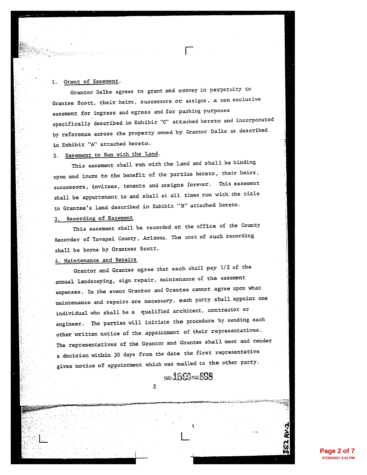#### Grant of Easement. 1.

Grantor Dalke agrees to grant and convey in perpetuity to Grantee Scott, their heirs, successors or assigns, a non exclusive easement for ingress and egress and for parking purposes specifically described in Exhibit "C" attached hereto and incorporated by reference across the property owned by Grantor Dalke as described in Exhibit "A" attached hereto.

# 2. Easement to Run with the Land.

This easement shall run with the land and shall be binding upon and inure to the benefit of the parties hereto, their heirs, successors, invitees, tenants and assigns forever. This easement shall be appurtenant to and shall at all times run with the title to Grantee's land described in Exhibit "B" attached hereto.

### 3. Recording of Easement

This easement shall be recorded at the office of the County Recorder of Yavapai County, Arizona. The cost of such recording shall be borne by Grantees Scott.

## 4. Maintenance and Repairs

Grantor and Grantee agree that each shall pay 1/2 of the annual landscaping, sign repair, maintenance of the easement expenses. In the event Grantor and Grantee cannot agree upon what maintenance and repairs are necessary, each party shall appoint one individual who shall be a qualified architect, contractor or engineer. The parties will initiate the procedure by sending each other written notice of the appointment of their representatives. The representatives of the Grantor and Grantee shall meet and render a decision within 30 days from the date the first representative gives notice of appointment which was mailed to the other party.

 $\overline{2}$ 

# **500.1550 PAGE 898**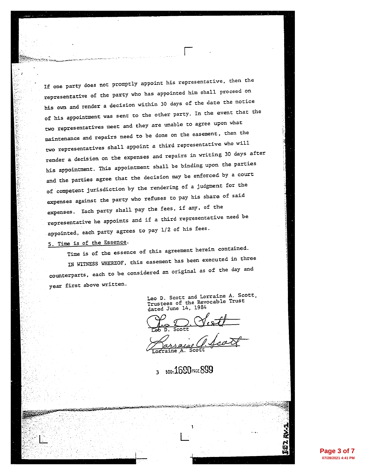If one party does not promptly appoint his representative, then the representative of the party who has appointed him shall proceed on his own and render a decision within 30 days of the date the notice of his appointment was sent to the other party. In the event that the two representatives meet and they are unable to agree upon what maintenance and repairs need to be done on the easement, then the two representatives shall appoint a third representative who will render a decision on the expenses and repairs in writing 30 days after his appointment. This appointment shall be binding upon the parties and the parties agree that the decision may be enforced by a court of competent jurisdiction by the rendering of a judgment for the expenses against the party who refuses to pay his share of said expenses. Each party shall pay the fees, if any, of the representative he appoints and if a third representative need be appointed, each party agrees to pay 1/2 of his fees.

# 5. Time is of the Essence.

Time is of the essence of this agreement herein contained. IN WITNESS WHEREOF, this easement has been executed in three counterparts, each to be considered an original as of the day and year first above written.

> Leo D. Scott and Lorraine A. Scott, Trustees of the Revocable Trust dated June 14, 1984

> > محلا والمتحافظ فسنتما فالمتواطئ والمتواطئ

aine A

**BOD: 1690 PAGE 899**  $\overline{\mathbf{3}}$ 

<u>તમાન તેમ જ ગામના પાકના પાકના મુખ્યત્વે અને તેમ જ ગામના પાકની પણ જ પશુપાલન જણાવ્યું કે પણ જણાવ્યું કે પણ જણાવ્ય</u>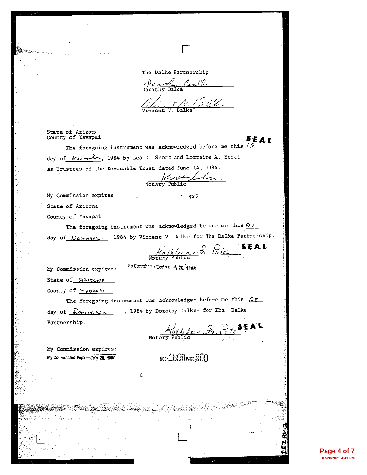The Dalke Partnership

Variate Dalle

The Collection

State of Arizona County of Yavapai

The foregoing instrument was acknowledged before me this  $15\overline{5}$ day of  $\mu$   $\sim$   $\sim$   $\sim$  1984 by Leo D. Scott and Lorraine A. Scott as Trustees of the Revocable Trust dated June 14, 1984.

Notary Public

My Commission expires:

State of Arizona

County of Yavapai

The foregoing instrument was acknowledged before me this  $\frac{\mathfrak{D}7}{\mathfrak{D}2}$ day of *Nourmere*, 1984 by Vincent V. Dalke for The Dalke Partnership.

**Community of the Congss** 

Kathleen S. Pate STAL

S E A I

My Commission Expires July 28, 1985

My Commission expires:

State of ARIZONA

County of  $M$ AVAPAI

The foregoing instrument was acknowledged before me this  $\frac{\partial S}{\partial x}$ day of  $\sqrt{R_{c\ell m}}$  , 1984 by Dorothy Dalke for The Dalke Partnership.

4

Kathleen & Pite EAL

**BDD-1690 PAGE SON** 

My Commission expires: My Commission Expires July 28, 1086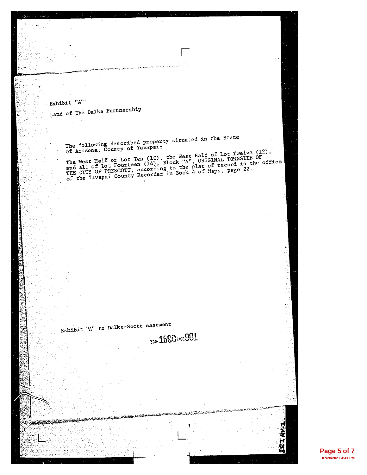Exhibit  $"A"$ 

Land of The Dalke Partnership

The following described property situated in the State<br>of Arizona, County of Yavapai:

The West Half of Lot Ten (10), the West Half of Lot Twelve (12),<br>and all of Lot Fourteen (14), Block "A", ORIGINAL TOWNSITE OF<br>THE CITY OF PRESCOTT, according to the plat of record in the office<br>of the Yavapai County Recor  $\ddot{\phantom{a}}$ 

Exhibit "A" to Dalke-Scott easement BOOK1690 PAGE 901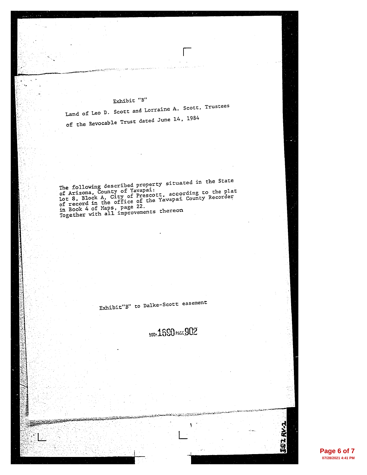# Exhibit "B"

Land of Leo D. Scott and Lorraine A. Scott, Trustees of the Revocable Trust dated June 14, 1984

The following described property situated in the State<br>of Arizona, County of Yavapai:<br>Lot 8, Block A, City of Prescott, according to the plat<br>of record in the office of the Yavapai County Recorder<br>in Book 4 of Maps, page 2

Exhibit"B" to Dalke-Scott easement

**BOO-1690 PAGE 902** 

**KV.1**